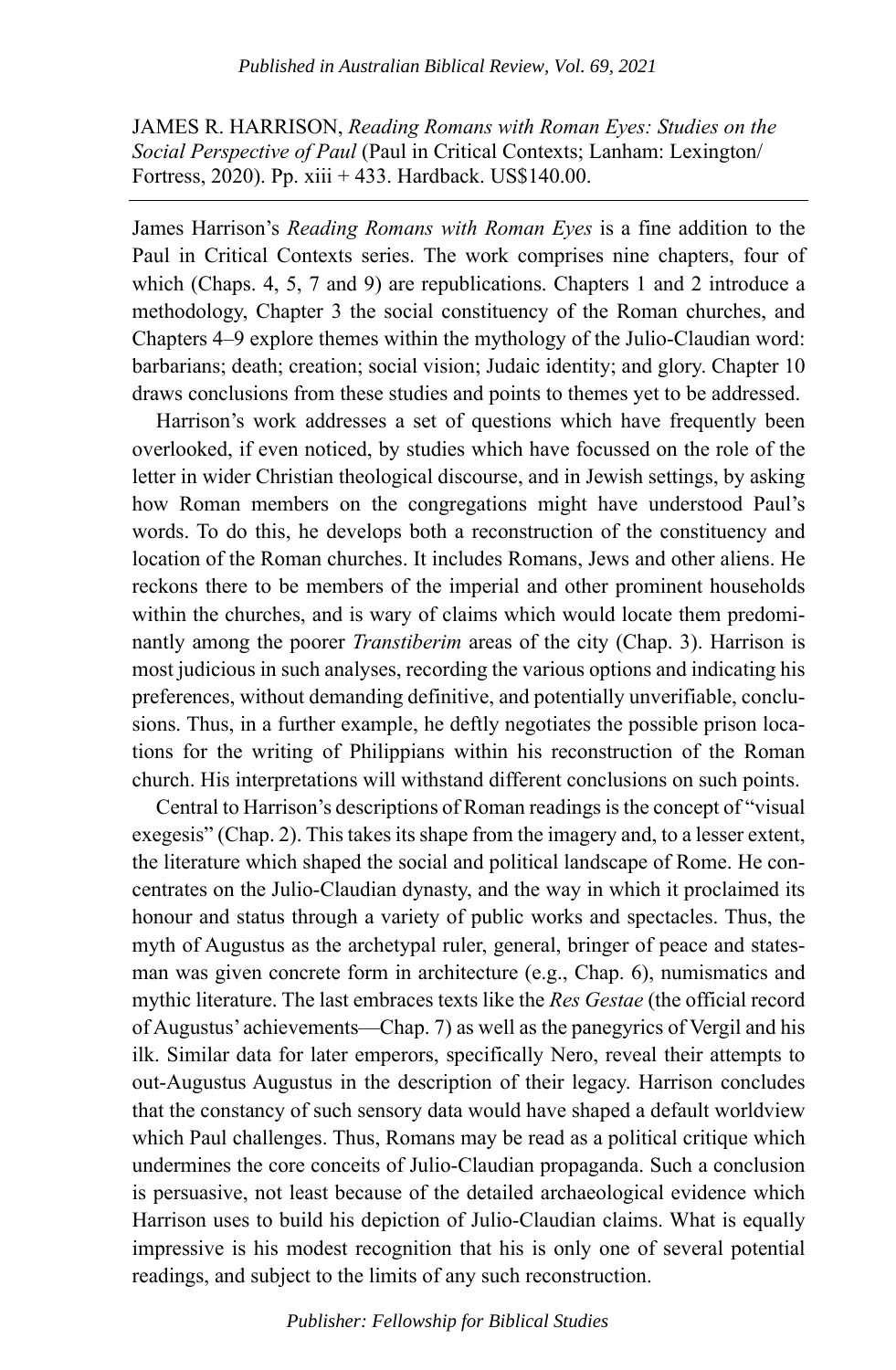JAMES R. HARRISON, *Reading Romans with Roman Eyes: Studies on the Social Perspective of Paul* (Paul in Critical Contexts; Lanham: Lexington/ Fortress, 2020). Pp. xiii + 433. Hardback. US\$140.00.

James Harrison's *Reading Romans with Roman Eyes* is a fine addition to the Paul in Critical Contexts series. The work comprises nine chapters, four of which (Chaps. 4, 5, 7 and 9) are republications. Chapters 1 and 2 introduce a methodology, Chapter 3 the social constituency of the Roman churches, and Chapters 4–9 explore themes within the mythology of the Julio-Claudian word: barbarians; death; creation; social vision; Judaic identity; and glory. Chapter 10 draws conclusions from these studies and points to themes yet to be addressed.

Harrison's work addresses a set of questions which have frequently been overlooked, if even noticed, by studies which have focussed on the role of the letter in wider Christian theological discourse, and in Jewish settings, by asking how Roman members on the congregations might have understood Paul's words. To do this, he develops both a reconstruction of the constituency and location of the Roman churches. It includes Romans, Jews and other aliens. He reckons there to be members of the imperial and other prominent households within the churches, and is wary of claims which would locate them predominantly among the poorer *Transtiberim* areas of the city (Chap. 3). Harrison is most judicious in such analyses, recording the various options and indicating his preferences, without demanding definitive, and potentially unverifiable, conclusions. Thus, in a further example, he deftly negotiates the possible prison locations for the writing of Philippians within his reconstruction of the Roman church. His interpretations will withstand different conclusions on such points.

Central to Harrison's descriptions of Roman readings is the concept of "visual exegesis" (Chap. 2). This takes its shape from the imagery and, to a lesser extent, the literature which shaped the social and political landscape of Rome. He concentrates on the Julio-Claudian dynasty, and the way in which it proclaimed its honour and status through a variety of public works and spectacles. Thus, the myth of Augustus as the archetypal ruler, general, bringer of peace and statesman was given concrete form in architecture (e.g., Chap. 6), numismatics and mythic literature. The last embraces texts like the *Res Gestae* (the official record of Augustus' achievements—Chap. 7) as well as the panegyrics of Vergil and his ilk. Similar data for later emperors, specifically Nero, reveal their attempts to out-Augustus Augustus in the description of their legacy. Harrison concludes that the constancy of such sensory data would have shaped a default worldview which Paul challenges. Thus, Romans may be read as a political critique which undermines the core conceits of Julio-Claudian propaganda. Such a conclusion is persuasive, not least because of the detailed archaeological evidence which Harrison uses to build his depiction of Julio-Claudian claims. What is equally impressive is his modest recognition that his is only one of several potential readings, and subject to the limits of any such reconstruction.